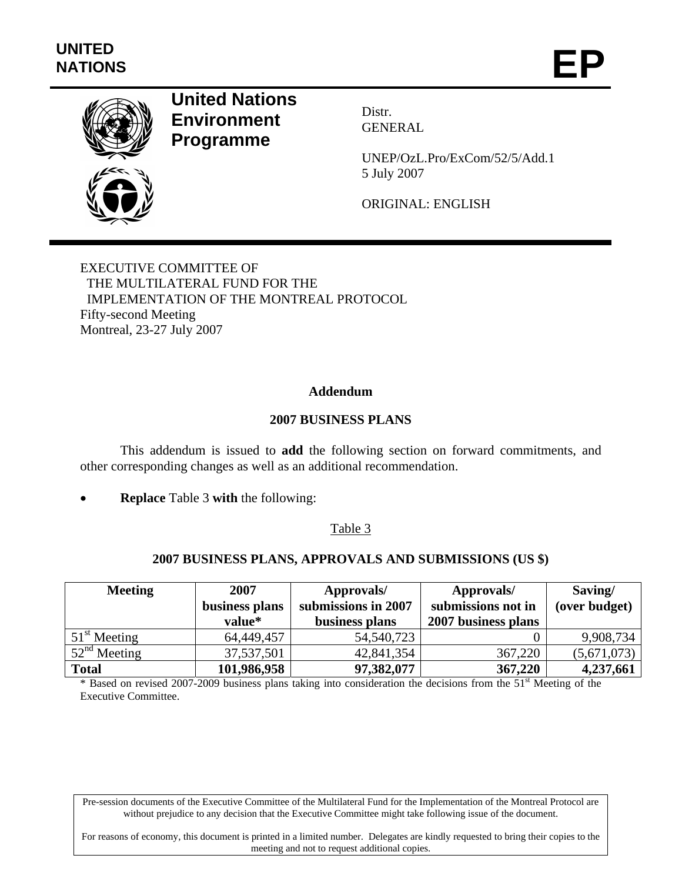

# **United Nations Environment Programme**

Distr. GENERAL

UNEP/OzL.Pro/ExCom/52/5/Add.1 5 July 2007

ORIGINAL: ENGLISH

EXECUTIVE COMMITTEE OF THE MULTILATERAL FUND FOR THE IMPLEMENTATION OF THE MONTREAL PROTOCOL Fifty-second Meeting Montreal, 23-27 July 2007

# **Addendum**

## **2007 BUSINESS PLANS**

This addendum is issued to **add** the following section on forward commitments, and other corresponding changes as well as an additional recommendation.

• **Replace** Table 3 **with** the following:

#### Table 3

#### **2007 BUSINESS PLANS, APPROVALS AND SUBMISSIONS (US \$)**

| <b>Meeting</b> | 2007<br>business plans<br>value* | Approvals/<br>submissions in 2007<br>business plans | Approvals/<br>submissions not in<br>2007 business plans | Saving/<br>(over budget) |  |
|----------------|----------------------------------|-----------------------------------------------------|---------------------------------------------------------|--------------------------|--|
| $51st$ Meeting | 64,449,457                       | 54,540,723                                          |                                                         | 9,908,734                |  |
| $52nd$ Meeting | 37,537,501                       | 42,841,354                                          | 367,220                                                 | (5,671,073)              |  |
| <b>Total</b>   | 101,986,958                      | 97,382,077                                          | 367,220                                                 | 4,237,661                |  |

\* Based on revised 2007-2009 business plans taking into consideration the decisions from the 51st Meeting of the Executive Committee.

Pre-session documents of the Executive Committee of the Multilateral Fund for the Implementation of the Montreal Protocol are without prejudice to any decision that the Executive Committee might take following issue of the document.

For reasons of economy, this document is printed in a limited number. Delegates are kindly requested to bring their copies to the meeting and not to request additional copies.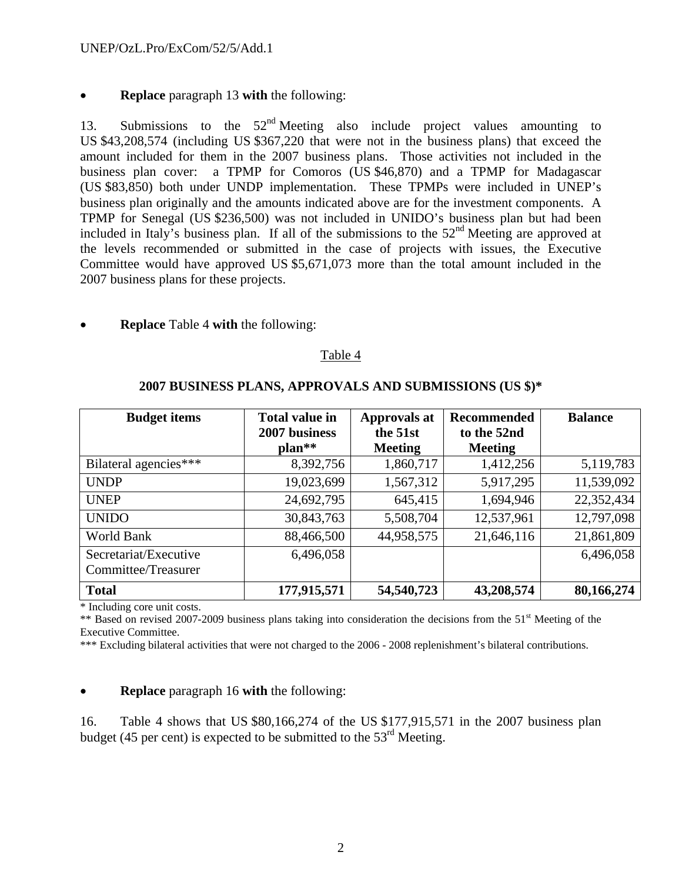# • **Replace** paragraph 13 **with** the following:

13. Submissions to the  $52<sup>nd</sup>$  Meeting also include project values amounting to US \$43,208,574 (including US \$367,220 that were not in the business plans) that exceed the amount included for them in the 2007 business plans. Those activities not included in the business plan cover: a TPMP for Comoros (US \$46,870) and a TPMP for Madagascar (US \$83,850) both under UNDP implementation. These TPMPs were included in UNEP's business plan originally and the amounts indicated above are for the investment components. A TPMP for Senegal (US \$236,500) was not included in UNIDO's business plan but had been included in Italy's business plan. If all of the submissions to the  $52<sup>nd</sup>$  Meeting are approved at the levels recommended or submitted in the case of projects with issues, the Executive Committee would have approved US \$5,671,073 more than the total amount included in the 2007 business plans for these projects.

# • **Replace** Table 4 **with** the following:

#### Table 4

| <b>Budget items</b>   | <b>Total value in</b><br>2007 business | <b>Approvals at</b><br>the 51st | Recommended<br>to the 52nd | <b>Balance</b> |
|-----------------------|----------------------------------------|---------------------------------|----------------------------|----------------|
|                       | $plan**$                               | <b>Meeting</b>                  | <b>Meeting</b>             |                |
| Bilateral agencies*** | 8,392,756                              | 1,860,717                       | 1,412,256                  | 5,119,783      |
| <b>UNDP</b>           | 19,023,699                             | 1,567,312                       | 5,917,295                  | 11,539,092     |
| <b>UNEP</b>           | 24,692,795                             | 645,415                         | 1,694,946                  | 22,352,434     |
| <b>UNIDO</b>          | 30,843,763                             | 5,508,704                       | 12,537,961                 | 12,797,098     |
| World Bank            | 88,466,500                             | 44,958,575                      | 21,646,116                 | 21,861,809     |
| Secretariat/Executive | 6,496,058                              |                                 |                            | 6,496,058      |
| Committee/Treasurer   |                                        |                                 |                            |                |
| <b>Total</b>          | 177,915,571                            | 54,540,723                      | 43,208,574                 | 80,166,274     |

## **2007 BUSINESS PLANS, APPROVALS AND SUBMISSIONS (US \$)\***

\* Including core unit costs.

\*\* Based on revised 2007-2009 business plans taking into consideration the decisions from the 51<sup>st</sup> Meeting of the Executive Committee.

\*\*\* Excluding bilateral activities that were not charged to the 2006 - 2008 replenishment's bilateral contributions.

# • **Replace** paragraph 16 **with** the following:

16. Table 4 shows that US \$80,166,274 of the US \$177,915,571 in the 2007 business plan budget (45 per cent) is expected to be submitted to the  $53<sup>rd</sup>$  Meeting.